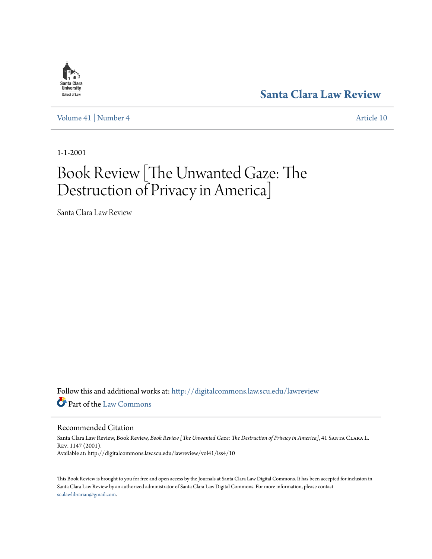

**[Santa Clara Law Review](http://digitalcommons.law.scu.edu/lawreview?utm_source=digitalcommons.law.scu.edu%2Flawreview%2Fvol41%2Fiss4%2F10&utm_medium=PDF&utm_campaign=PDFCoverPages)**

[Volume 41](http://digitalcommons.law.scu.edu/lawreview/vol41?utm_source=digitalcommons.law.scu.edu%2Flawreview%2Fvol41%2Fiss4%2F10&utm_medium=PDF&utm_campaign=PDFCoverPages) | [Number 4](http://digitalcommons.law.scu.edu/lawreview/vol41/iss4?utm_source=digitalcommons.law.scu.edu%2Flawreview%2Fvol41%2Fiss4%2F10&utm_medium=PDF&utm_campaign=PDFCoverPages) [Article 10](http://digitalcommons.law.scu.edu/lawreview/vol41/iss4/10?utm_source=digitalcommons.law.scu.edu%2Flawreview%2Fvol41%2Fiss4%2F10&utm_medium=PDF&utm_campaign=PDFCoverPages)

1-1-2001

## Book Review [The Unwanted Gaze: The Destruction of Privacy in America]

Santa Clara Law Review

Follow this and additional works at: [http://digitalcommons.law.scu.edu/lawreview](http://digitalcommons.law.scu.edu/lawreview?utm_source=digitalcommons.law.scu.edu%2Flawreview%2Fvol41%2Fiss4%2F10&utm_medium=PDF&utm_campaign=PDFCoverPages) Part of the [Law Commons](http://network.bepress.com/hgg/discipline/578?utm_source=digitalcommons.law.scu.edu%2Flawreview%2Fvol41%2Fiss4%2F10&utm_medium=PDF&utm_campaign=PDFCoverPages)

Recommended Citation

Santa Clara Law Review, Book Review, *Book Review [The Unwanted Gaze: The Destruction of Privacy in America]*, 41 Santa Clara L. Rev. 1147 (2001). Available at: http://digitalcommons.law.scu.edu/lawreview/vol41/iss4/10

This Book Review is brought to you for free and open access by the Journals at Santa Clara Law Digital Commons. It has been accepted for inclusion in Santa Clara Law Review by an authorized administrator of Santa Clara Law Digital Commons. For more information, please contact [sculawlibrarian@gmail.com](mailto:sculawlibrarian@gmail.com).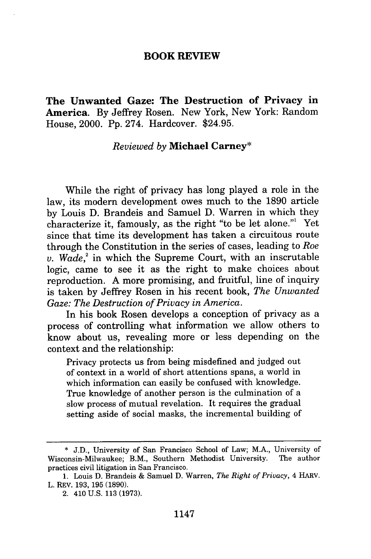## **BOOK REVIEW**

**The Unwanted Gaze: The Destruction of Privacy in America.** By Jeffrey Rosen. New York, New York: Random House, 2000. Pp. 274. Hardcover. \$24.95.

## *Reviewed by* **Michael Carney\***

While the right of privacy has long played a role in the law, its modern development owes much to the 1890 article by Louis D. Brandeis and Samuel D. Warren in which they characterize it, famously, as the right "to be let alone."' Yet since that time its development has taken a circuitous route through the Constitution in the series of cases, leading to *Roe*  $v.$  Wade,<sup>2</sup> in which the Supreme Court, with an inscrutable logic, came to see it as the right to make choices about reproduction. A more promising, and fruitful, line of inquiry is taken by Jeffrey Rosen in his recent book, *The Unwanted Gaze: The Destruction of Privacy in America.*

In his book Rosen develops a conception of privacy as a process of controlling what information we allow others to know about us, revealing more or less depending on the context and the relationship:

Privacy protects us from being misdefined and judged out of context in a world of short attentions spans, a world in which information can easily be confused with knowledge. True knowledge of another person is the culmination of a slow process of mutual revelation. It requires the gradual setting aside of social masks, the incremental building of

<sup>\*</sup> J.D., University of San Francisco School of Law; M.A., University of Wisconsin-Milwaukee; B.M., Southern Methodist University. The author practices civil litigation in San Francisco.

<sup>1.</sup> Louis D. Brandeis & Samuel D. Warren, *The Right of Privacy, 4* HARV. L. REV. 193, 195 (1890).

<sup>2. 410</sup> U.S. 113 (1973).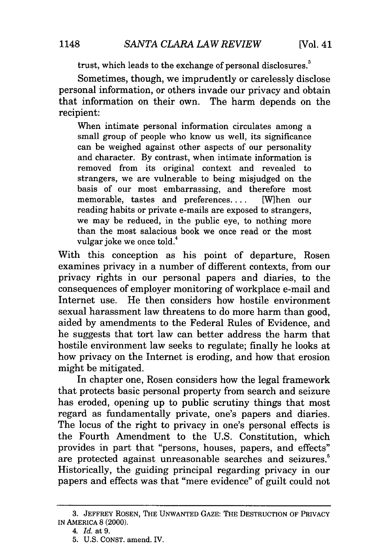trust, which leads to the exchange of personal disclosures.<sup>3</sup>

Sometimes, though, we imprudently or carelessly disclose personal information, or others invade our privacy and obtain that information on their own. The harm depends on the recipient:

When intimate personal information circulates among a small group of people who know us well, its significance can be weighed against other aspects of our personality and character. By contrast, when intimate information is removed from its original context and revealed to strangers, we are vulnerable to being misjudged on the basis of our most embarrassing, and therefore most memorable, tastes and preferences.... [W]hen our reading habits or private e-mails are exposed to strangers, we may be reduced, in the public eye, to nothing more than the most salacious book we once read or the most vulgar joke we once told.<sup>4</sup>

With this conception as his point of departure, Rosen examines privacy in a number of different contexts, from our privacy rights in our personal papers and diaries, to the consequences of employer monitoring of workplace e-mail and Internet use. He then considers how hostile environment sexual harassment law threatens to do more harm than good, aided by amendments to the Federal Rules of Evidence, and he suggests that tort law can better address the harm that hostile environment law seeks to regulate; finally he looks at how privacy on the Internet is eroding, and how that erosion might be mitigated.

In chapter one, Rosen considers how the legal framework that protects basic personal property from search and seizure has eroded, opening up to public scrutiny things that most regard as fundamentally private, one's papers and diaries. The locus of the right to privacy in one's personal effects is the Fourth Amendment to the U.S. Constitution, which provides in part that "persons, houses, papers, and effects" are protected against unreasonable searches and seizures.' Historically, the guiding principal regarding privacy in our papers and effects was that "mere evidence" of guilt could not

<sup>3.</sup> JEFFREY ROSEN, THE UNWANTED GAZE: THE DESTRUCTION OF PRIVACY IN AMERICA 8 (2000).

<sup>4.</sup> *Id.* at 9.

<sup>5.</sup> U.S. CONST. amend. IV.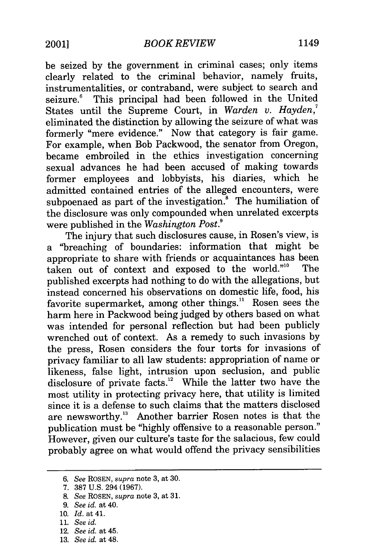be seized by the government in criminal cases; only items clearly related to the criminal behavior, namely fruits, instrumentalities, or contraband, were subject to search and seizure.<sup>6</sup> This principal had been followed in the United This principal had been followed in the United States until the Supreme Court, in *Warden v. Hayden,7* eliminated the distinction by allowing the seizure of what was formerly "mere evidence." Now that category is fair game. For example, when Bob Packwood, the senator from Oregon, became embroiled in the ethics investigation concerning sexual advances he had been accused of making towards former employees and lobbyists, his diaries, which he admitted contained entries of the alleged encounters, were subpoenaed as part of the investigation. $\frac{8}{3}$  The humiliation of the disclosure was only compounded when unrelated excerpts were published in the *Washington Post.9*

The injury that such disclosures cause, in Rosen's view, is a "breaching of boundaries: information that might be appropriate to share with friends or acquaintances has been<br>taken out of context and exposed to the world."<sup>10</sup> The taken out of context and exposed to the world."<sup>10</sup> published excerpts had nothing to do with the allegations, but instead concerned his observations on domestic life, food, his favorite supermarket, among other things." Rosen sees the harm here in Packwood being judged by others based on what was intended for personal reflection but had been publicly wrenched out of context. As a remedy to such invasions by the press, Rosen considers the four torts for invasions of privacy familiar to all law students: appropriation of name or likeness, false light, intrusion upon seclusion, and public disclosure of private facts.<sup>12</sup> While the latter two have the most utility in protecting privacy here, that utility is limited since it is a defense to such claims that the matters disclosed are newsworthy." Another barrier Rosen notes is that the publication must be "highly offensive to a reasonable person." However, given our culture's taste for the salacious, few could probably agree on what would offend the privacy sensibilities

- 10. *Id.* at 41.
- 11. *See id.*
- 12. *See id.* at 45.
- 13. *See id.* at 48.

*<sup>6.</sup> See* ROSEN, *supra* note 3, at 30.

<sup>7. 387</sup> U.S. 294 (1967).

<sup>8.</sup> *See* ROSEN, *supra* note 3, at 31.

*<sup>9.</sup> See id.* at 40.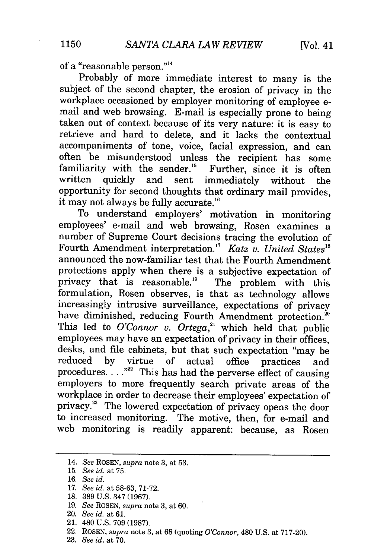of a "reasonable person."<sup>14</sup>

Probably of more immediate interest to many is the subject of the second chapter, the erosion of privacy in the workplace occasioned by employer monitoring of employee email and web browsing. E-mail is especially prone to being taken out of context because of its very nature: it is easy to retrieve and hard to delete, and it lacks the contextual accompaniments of tone, voice, facial expression, and can often be misunderstood unless the recipient has some familiarity with the sender.<sup>15</sup> Further, since it is often written quickly and sent immediately without the opportunity for second thoughts that ordinary mail provides, it may not always be fully accurate.<sup>16</sup>

To understand employers' motivation in monitoring employees' e-mail and web browsing, Rosen examines a number of Supreme Court decisions tracing the evolution of Fourth Amendment interpretation.<sup>17</sup> Katz v. United States<sup>18</sup> announced the now-familiar test that the Fourth Amendment protections apply when there is a subjective expectation of privacy that is reasonable.<sup>19</sup> The problem with this formulation, Rosen observes, is that as technology allows increasingly intrusive surveillance, expectations of privacy have diminished, reducing Fourth Amendment protection.<sup>20</sup> This led to *O'Connor v. Ortega,"* which held that public employees may have an expectation of privacy in their offices, desks, and file cabinets, but that such expectation "may be reduced by virtue of actual office practices and procedures. . . **.""** This has had the perverse effect of causing employers to more frequently search private areas of the workplace in order to decrease their employees' expectation of privacy. 3 The lowered expectation of privacy opens the door to increased monitoring. The motive, then, for e-mail and web monitoring is readily apparent: because, as Rosen

- 19. *See* ROSEN, *supra* note 3, at 60.
- 20. *See id.* at 61.
- 21. 480 U.S. 709 (1987).
- 22. ROSEN, *supra* note 3, at 68 (quoting *O'Connor,* 480 U.S. at 717-20).
- 23. *See id.* at 70.

<sup>14.</sup> *See* ROSEN, *supra* note 3, at 53.

<sup>15.</sup> *See id.* at 75.

<sup>16.</sup> *See id.*

<sup>17.</sup> *See id.* at 58-63, 71-72.

**<sup>18.</sup>** 389 U.S. 347 (1967).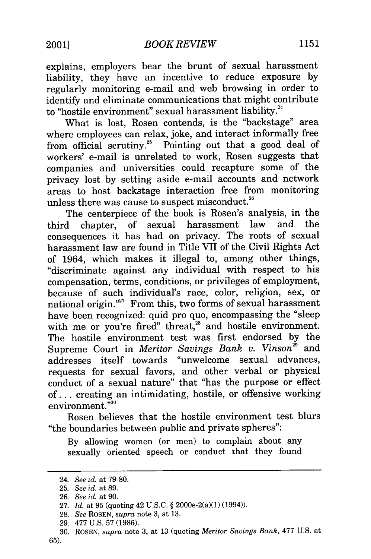explains, employers bear the brunt of sexual harassment liability, they have an incentive to reduce exposure by regularly monitoring e-mail and web browsing in order to identify and eliminate communications that might contribute to "hostile environment" sexual harassment liability.<sup>24</sup>

What is lost, Rosen contends, is the "backstage" area where employees can relax, joke, and interact informally free from official scrutiny.<sup>25</sup> Pointing out that a good deal of workers' e-mail is unrelated to work, Rosen suggests that companies and universities could recapture some of the privacy lost by setting aside e-mail accounts and network areas to host backstage interaction free from monitoring unless there was cause to suspect misconduct. $26$ 

The centerpiece of the book is Rosen's analysis, in the third chapter, of sexual harassment law and the consequences it has had on privacy. The roots of sexual harassment law are found in Title VII of the Civil Rights Act of 1964, which makes it illegal to, among other things, "discriminate against any individual with respect to his compensation, terms, conditions, or privileges of employment, because of such individual's race, color, religion, sex, or national origin."<sup>27</sup> From this, two forms of sexual harassment have been recognized: quid pro quo, encompassing the "sleep with me or you're fired" threat,<sup>28</sup> and hostile environment. The hostile environment test was first endorsed by the Supreme Court in *Meritor Savings Bank v. Vinson*<sup>29</sup> and addresses itself towards "unwelcome sexual advances, requests for sexual favors, and other verbal or physical conduct of a sexual nature" that "has the purpose or effect of... creating an intimidating, hostile, or offensive working environment."<sup>30</sup>

Rosen believes that the hostile environment test blurs "the boundaries between public and private spheres":

By allowing women (or men) to complain about any sexually oriented speech or conduct that they found

<sup>24.</sup> *See id.* at 79-80.

**<sup>25.</sup>** *See id.* at 89.

**<sup>26.</sup>** *See id.* at **90.**

<sup>27.</sup> *Id.* at 95 (quoting 42 U.S.C. § 2000e-2(a)(1) (1994)).

<sup>28.</sup> *See* **ROSEN,** *supra* note 3, at 13.

<sup>29. 477</sup> U.S. 57 (1986).

**<sup>30.</sup>** ROSEN, *supra* note 3, at 13 (quoting *Meritor Savings Bank,* 477 U.S. at **65).**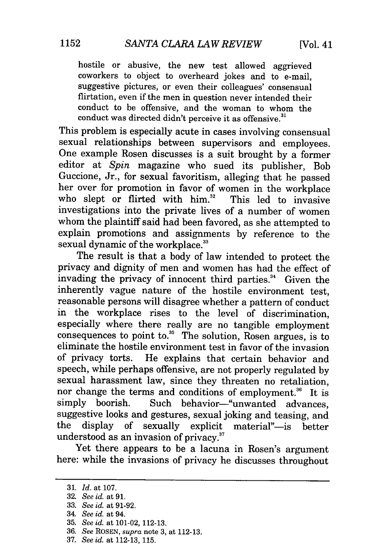hostile or abusive, the new test allowed aggrieved coworkers to object to overheard jokes and to e-mail, suggestive pictures, or even their colleagues' consensual flirtation, even if the men in question never intended their conduct to be offensive, and the woman to whom the conduct was directed didn't perceive it as offensive. $^{3}$ 

This problem is especially acute in cases involving consensual sexual relationships between supervisors and employees. One example Rosen discusses is a suit brought by a former editor at *Spin* magazine who sued its publisher, Bob Guccione, Jr., for sexual favoritism, alleging that he passed her over for promotion in favor of women in the workplace who slept or flirted with him.<sup>32</sup> This led to invasive investigations into the private lives of a number of women whom the plaintiff said had been favored, as she attempted to explain promotions and assignments by reference to the sexual dynamic of the workplace.<sup>33</sup>

The result is that a body of law intended to protect the privacy and dignity of men and women has had the effect of invading the privacy of innocent third parties.<sup>34</sup> Given the inherently vague nature of the hostile environment test, reasonable persons will disagree whether a pattern of conduct in the workplace rises to the level of discrimination, especially where there really are no tangible employment consequences to point to. $35$  The solution, Rosen argues, is to eliminate the hostile environment test in favor of the invasion of privacy torts. He explains that certain behavior and speech, while perhaps offensive, are not properly regulated by sexual harassment law, since they threaten no retaliation, nor change the terms and conditions of employment.<sup>36</sup> It is simply boorish. Such behavior-"unwanted advances, suggestive looks and gestures, sexual joking and teasing, and the display of sexually explicit material"-is better understood as an invasion of privacy.<sup>37</sup>

Yet there appears to be a lacuna in Rosen's argument here: while the invasions of privacy he discusses throughout

<sup>31.</sup> *Id.* at 107.

<sup>32.</sup> *See id.* at **91.**

<sup>33.</sup> *See id.* at 91-92.

<sup>34.</sup> *See id.* at 94.

<sup>35.</sup> *See id.* at 101-02, 112-13.

<sup>36.</sup> *See* ROSEN, *supra* note 3, at 112-13.

<sup>37.</sup> *See id.* at 112-13, 115.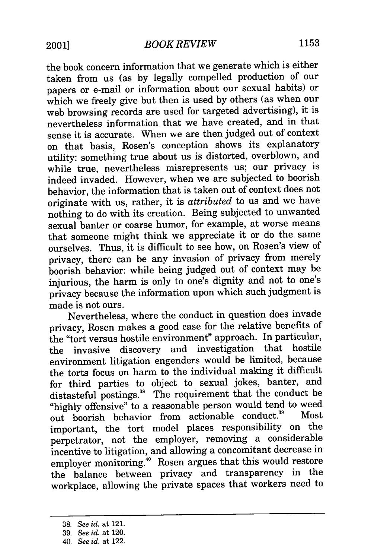the book concern information that we generate which is either taken from us (as by legally compelled production of our papers or e-mail or information about our sexual habits) or which we freely give but then is used by others (as when our web browsing records are used for targeted advertising), it is nevertheless information that we have created, and in that sense it is accurate. When we are then judged out of context on that basis, Rosen's conception shows its explanatory utility: something true about us is distorted, overblown, and while true, nevertheless misrepresents us; our privacy is indeed invaded. However, when we are subjected to boorish behavior, the information that is taken out of context does not originate with us, rather, it is *attributed* to us and we have nothing to do with its creation. Being subjected to unwanted sexual banter or coarse humor, for example, at worse means that someone might think we appreciate it or do the same ourselves. Thus, it is difficult to see how, on Rosen's view of privacy, there can be any invasion of privacy from merely boorish behavior: while being judged out of context may be injurious, the harm is only to one's dignity and not to one's privacy because the information upon which such judgment is made is not ours.

Nevertheless, where the conduct in question does invade privacy, Rosen makes a good case for the relative benefits of the "tort versus hostile environment" approach. In particular, the invasive discovery and investigation that hostile environment litigation engenders would be limited, because the torts focus on harm to the individual making it difficult for third parties to object to sexual jokes, banter, and distasteful postings.<sup>38</sup> The requirement that the conduct be "highly offensive" to a reasonable person would tend to weed<br>out, because behavior, from actionable conduct.<sup>39</sup> Most out boorish behavior from actionable conduct.<sup>39</sup> important, the tort model places responsibility on the perpetrator, not the employer, removing a considerable incentive to litigation, and allowing a concomitant decrease in employer monitoring.4" Rosen argues that this would restore the balance between privacy and transparency in the workplace, allowing the private spaces that workers need to

<sup>38.</sup> *See id.* at 121.

<sup>39.</sup> *See id.* at 120.

<sup>40.</sup> *See id.* at 122.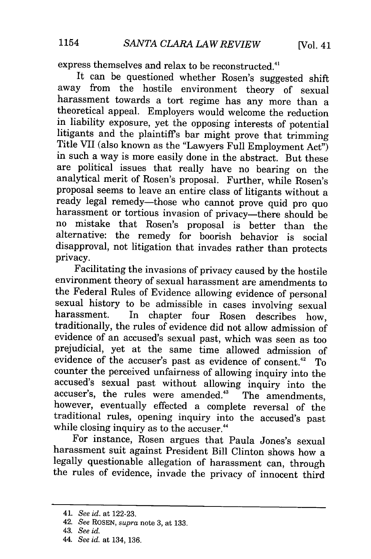express themselves and relax to be reconstructed.<sup>41</sup><br>It can be questioned whether Rosen's suggested shift away from the hostile environment theory of sexual harassment towards a tort regime has any more than a theoretical appeal. Employers would welcome the reduction litigants and the plaintiff's bar might prove that trimming<br>Title VII (also known as the "Lawyers Full Employment Act")<br>in such a way is more easily done in the abstract. But these are political issues that really have no bearing on the analytical merit of Rosen's proposal. Further, while Rosen's proposal seems to leave an entire class of litigants without a ready legal remedy-those who cannot prove quid pro quo harassment or tortious invasion of privacy-there should be no mistake that Rosen's proposal is better than the alternative: the remedy for boorish behavior is social disapproval, not litigation that invades rather than protects privacy.

Facilitating the invasions of privacy caused by the hostile environment theory of sexual harassment are amendments to the Federal Rules of Evidence allowing evidence of personal sexual history to be admissible in cases involving sexual harassment. In chapter four Rosen describes how, traditionally, the rules of evidence did not allow admission of evidence of an accused's sexual past, which was seen as too prejudicial, yet at the same time allowed admission of evidence of the accuser's past as evidence of consent.<sup>42</sup> To counter the perceived unfairness of allowing inquiry into the accused's sexual past without allowing inquiry into the accuser's, the rules were amended.<sup>43</sup> The amendments, however, eventually effected a complete reversal of the traditional rules, opening inquiry into the accused's past while closing inquiry as to the accuser.<sup>44</sup>

For instance, Rosen argues that Paula Jones's sexual harassment suit against President Bill Clinton shows how a legally questionable allegation of harassment can, through the rules of evidence, invade the privacy of innocent third

<sup>41.</sup> *See id.* at 122-23.

<sup>42.</sup> *See* ROSEN, *supra* note 3, at 133.

<sup>43.</sup> *See id.*

<sup>44.</sup> *See id.* at 134, 136.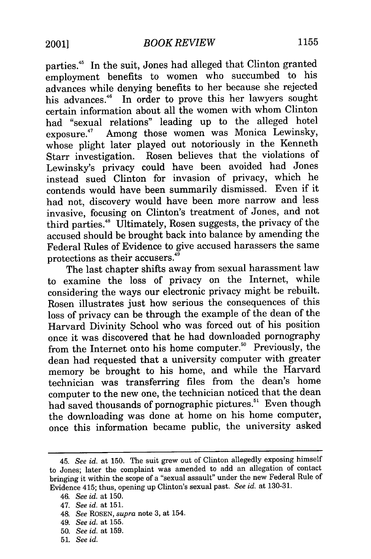parties.45 In the suit, Jones had alleged that Clinton granted employment benefits to women who succumbed to his advances while denying benefits to her because she rejected his advances." In order to prove this her lawyers sought certain information about all the women with whom Clinton had "sexual relations" leading up to the alleged hotel exposure." Among those women was Monica Lewinsky, whose plight later played out notoriously in the Kenneth Starr investigation. Rosen believes that the violations of Lewinsky's privacy could have been avoided had Jones instead sued Clinton for invasion of privacy, which he contends would have been summarily dismissed. Even if it had not, discovery would have been more narrow and less invasive, focusing on Clinton's treatment of Jones, and not third parties.<sup>48</sup> Ultimately, Rosen suggests, the privacy of the accused should be brought back into balance by amending the Federal Rules of Evidence to give accused harassers the same protections as their accusers.<sup>49</sup>

The last chapter shifts away from sexual harassment law to examine the loss of privacy on the Internet, while considering the ways our electronic privacy might be rebuilt. Rosen illustrates just how serious the consequences of this loss of privacy can be through the example of the dean of the Harvard Divinity School who was forced out of his position once it was discovered that he had downloaded pornography from the Internet onto his home computer.<sup>50</sup> Previously, the dean had requested that a university computer with greater memory be brought to his home, and while the Harvard technician was transferring files from the dean's home computer to the new one, the technician noticed that the dean had saved thousands of pornographic pictures.<sup>51</sup> Even though the downloading was done at home on his home computer, once this information became public, the university asked

- 50. *See id.* at 159.
- 51. *See id.*

<sup>45.</sup> *See id.* at 150. The suit grew out of Clinton allegedly exposing himself to Jones; later the complaint was amended to add an allegation of contact bringing it within the scope of a "sexual assault" under the new Federal Rule of Evidence 415; thus, opening up Clinton's sexual past. *See id.* at 130-31.

<sup>46.</sup> *See id.* at 150.

<sup>47.</sup> *See id.* at 151.

<sup>48.</sup> *See* ROSEN, *supra* note 3, at 154.

<sup>49.</sup> *See id.* at 155.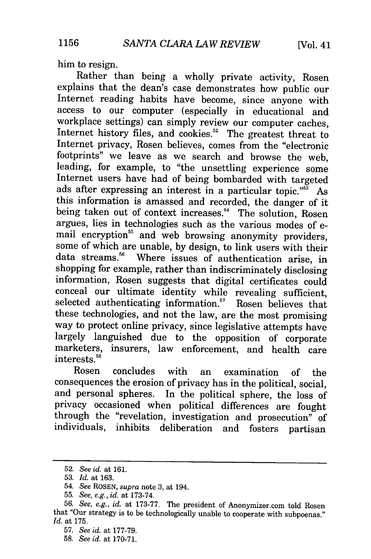him to resign.

Rather than being a wholly private activity, Rosen explains that the dean's case demonstrates how public our Internet reading habits have become, since anyone with access to our computer (especially in educational and workplace settings) can simply review our computer caches, Internet history files, and cookies.<sup>52</sup> The greatest threat to Internet privacy, Rosen believes, comes from the "electronic footprints" we leave as we search and browse the web, leading, for example, to "the unsettling experience some Internet users have had of being bombarded with targeted ads after expressing an interest in a particular topic."<sup>55</sup> As this information is amassed and recorded, the danger of it being taken out of context increases.<sup>54</sup> The solution, Rosen argues, lies in technologies such as the various modes of email encryption<sup>55</sup> and web browsing anonymity providers, some of which are unable, by design, to link users with their data streams.<sup>56</sup> Where issues of authentication arise, in shopping for example, rather than indiscriminately disclosing information, Rosen suggests that digital certificates could conceal our ultimate identity while revealing sufficient, selected authenticating information.<sup>57</sup> Rosen believes that these technologies, and not the law, are the most promising way to protect online privacy, since legislative attempts have largely languished due to the opposition of corporate marketers, insurers, law enforcement, and health care interests.<sup>58</sup>

Rosen concludes with an examination of the consequences the erosion of privacy has in the political, social, and personal spheres. In the political sphere, the loss of privacy occasioned when political differences are fought through the "revelation, investigation and prosecution" of individuals, inhibits deliberation and fosters partisan

<sup>52.</sup> *See id.* at 161.

<sup>53.</sup> *Id.* at 163.

<sup>54.</sup> *See* ROSEN, *supra* note 3, at 194.

<sup>55.</sup> *See, e.g., id.* at 173-74.

<sup>56.</sup> *See, e.g., id.* at 173-77. The president of Anonymizer.com told Rosen that "Our strategy is to be technologically unable to cooperate with subpoenas." *Id.* at 175.

<sup>57.</sup> *See id.* at 177-79.

<sup>58.</sup> *See id.* at 170-71.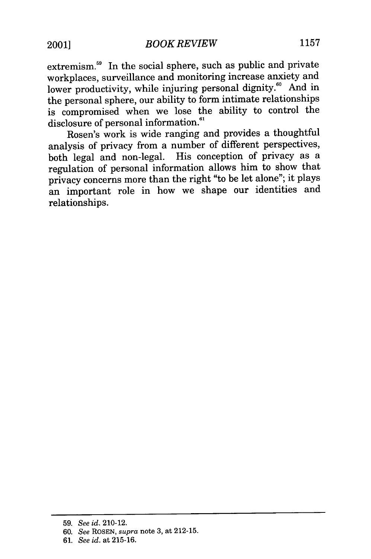extremism.<sup>59</sup> In the social sphere, such as public and private workplaces, surveillance and monitoring increase anxiety and lower productivity, while injuring personal dignity.<sup>60</sup> And in the personal sphere, our ability to form intimate relationships is compromised when we lose the ability to control the disclosure of personal information.<sup>61</sup>

Rosen's work is wide ranging and provides a thoughtful analysis of privacy from a number of different perspectives, both legal and non-legal. His conception of privacy as a regulation of personal information allows him to show that privacy concerns more than the right "to be let alone"; it plays an important role in how we shape our identities and relationships.

<sup>59.</sup> *See id.* 210-12.

<sup>60.</sup> *See* ROSEN, *supra* note 3, at 212-15.

<sup>61.</sup> *See id.* at 215-16.